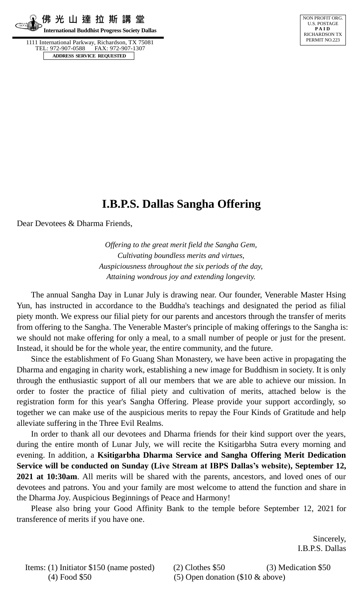**佛 光 山 達 拉 斯 講 堂 International Buddhist Progress Society Dallas**

 1111 International Parkway, Richardson, TX 75081 TEL: 972-907-0588 FAX: 972-907-1307  **ADDRESS SERVICE REQUESTED**



# **I.B.P.S. Dallas Sangha Offering**

Dear Devotees & Dharma Friends,

*Offering to the great merit field the Sangha Gem, Cultivating boundless merits and virtues, Auspiciousness throughout the six periods of the day, Attaining wondrous joy and extending longevity.*

The annual Sangha Day in Lunar July is drawing near. Our founder, Venerable Master Hsing Yun, has instructed in accordance to the Buddha's teachings and designated the period as filial piety month. We express our filial piety for our parents and ancestors through the transfer of merits from offering to the Sangha. The Venerable Master's principle of making offerings to the Sangha is: we should not make offering for only a meal, to a small number of people or just for the present. Instead, it should be for the whole year, the entire community, and the future.

Since the establishment of Fo Guang Shan Monastery, we have been active in propagating the Dharma and engaging in charity work, establishing a new image for Buddhism in society. It is only through the enthusiastic support of all our members that we are able to achieve our mission. In order to foster the practice of filial piety and cultivation of merits, attached below is the registration form for this year's Sangha Offering. Please provide your support accordingly, so together we can make use of the auspicious merits to repay the Four Kinds of Gratitude and help alleviate suffering in the Three Evil Realms.

In order to thank all our devotees and Dharma friends for their kind support over the years, during the entire month of Lunar July, we will recite the Ksitigarbha Sutra every morning and evening. In addition, a **Ksitigarbha Dharma Service and Sangha Offering Merit Dedication Service will be conducted on Sunday (Live Stream at IBPS Dallas's website), September 12, 2021 at 10:30am**. All merits will be shared with the parents, ancestors, and loved ones of our devotees and patrons. You and your family are most welcome to attend the function and share in the Dharma Joy. Auspicious Beginnings of Peace and Harmony!

Please also bring your Good Affinity Bank to the temple before September 12, 2021 for transference of merits if you have one.

> Sincerely, I.B.P.S. Dallas

Items: (1) Initiator \$150 (name posted) (2) Clothes \$50 (3) Medication \$50 (4) Food \$50 (5) Open donation (\$10 & above)